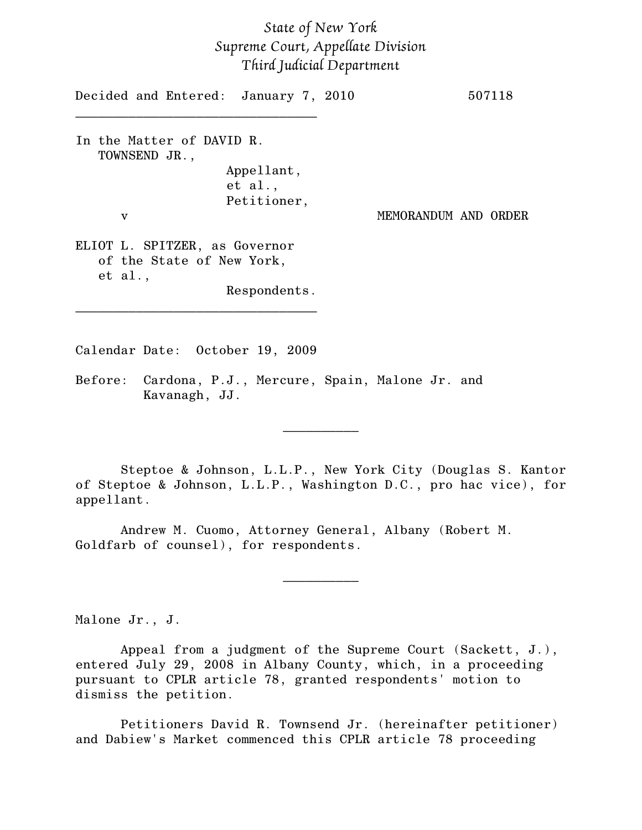## *State of New York Supreme Court, Appellate Division Third Judicial Department*

| Decided and Entered: January 7, 2010                                                  |                      | 507118 |
|---------------------------------------------------------------------------------------|----------------------|--------|
| In the Matter of DAVID R.<br>TOWNSEND JR.,<br>Appellant,                              |                      |        |
| et al.,<br>Petitioner,<br>v                                                           | MEMORANDUM AND ORDER |        |
| ELIOT L. SPITZER, as Governor<br>of the State of New York,<br>et al.,<br>Respondents. |                      |        |
|                                                                                       |                      |        |

Calendar Date: October 19, 2009

Before: Cardona, P.J., Mercure, Spain, Malone Jr. and Kavanagh, JJ.

Steptoe & Johnson, L.L.P., New York City (Douglas S. Kantor of Steptoe & Johnson, L.L.P., Washington D.C., pro hac vice), for appellant.

 $\frac{1}{2}$ 

 $\frac{1}{2}$ 

Andrew M. Cuomo, Attorney General, Albany (Robert M. Goldfarb of counsel), for respondents.

Malone Jr., J.

Appeal from a judgment of the Supreme Court (Sackett, J.), entered July 29, 2008 in Albany County, which, in a proceeding pursuant to CPLR article 78, granted respondents' motion to dismiss the petition.

Petitioners David R. Townsend Jr. (hereinafter petitioner) and Dabiew's Market commenced this CPLR article 78 proceeding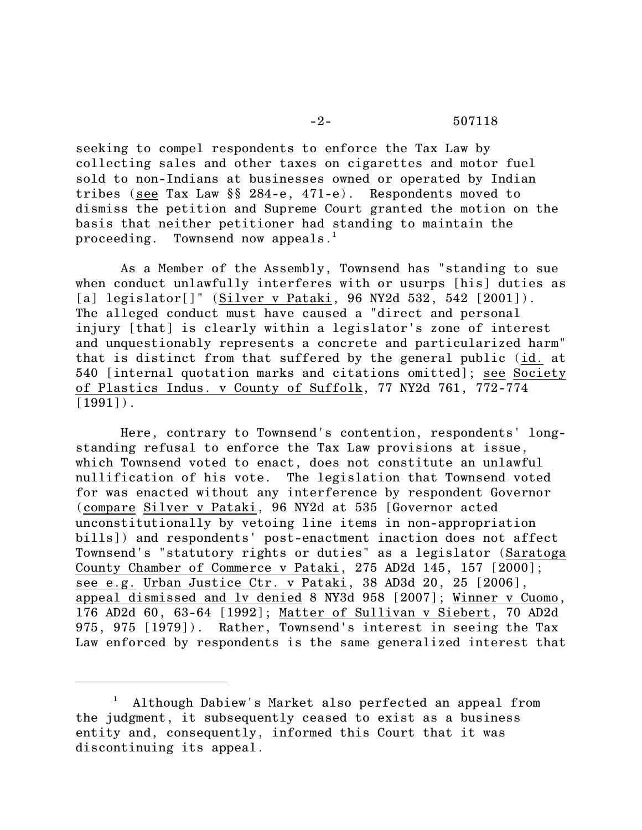seeking to compel respondents to enforce the Tax Law by collecting sales and other taxes on cigarettes and motor fuel sold to non-Indians at businesses owned or operated by Indian tribes (see Tax Law §§ 284-e, 471-e). Respondents moved to dismiss the petition and Supreme Court granted the motion on the basis that neither petitioner had standing to maintain the proceeding. Townsend now appeals.<sup>1</sup>

As a Member of the Assembly, Townsend has "standing to sue when conduct unlawfully interferes with or usurps [his] duties as [a] legislator[]" (Silver v Pataki, 96 NY2d 532, 542 [2001]). The alleged conduct must have caused a "direct and personal injury [that] is clearly within a legislator's zone of interest and unquestionably represents a concrete and particularized harm" that is distinct from that suffered by the general public (id. at 540 [internal quotation marks and citations omitted]; see Society of Plastics Indus. v County of Suffolk, 77 NY2d 761, 772-774  $[1991]$ .

Here, contrary to Townsend's contention, respondents' longstanding refusal to enforce the Tax Law provisions at issue, which Townsend voted to enact, does not constitute an unlawful nullification of his vote. The legislation that Townsend voted for was enacted without any interference by respondent Governor (compare Silver v Pataki, 96 NY2d at 535 [Governor acted unconstitutionally by vetoing line items in non-appropriation bills]) and respondents' post-enactment inaction does not affect Townsend's "statutory rights or duties" as a legislator (Saratoga County Chamber of Commerce v Pataki, 275 AD2d 145, 157 [2000]; see e.g. Urban Justice Ctr. v Pataki, 38 AD3d 20, 25 [2006], appeal dismissed and lv denied 8 NY3d 958 [2007]; Winner v Cuomo, 176 AD2d 60, 63-64 [1992]; Matter of Sullivan v Siebert, 70 AD2d 975, 975 [1979]). Rather, Townsend's interest in seeing the Tax Law enforced by respondents is the same generalized interest that

<sup>&</sup>lt;sup>1</sup> Although Dabiew's Market also perfected an appeal from the judgment, it subsequently ceased to exist as a business entity and, consequently, informed this Court that it was discontinuing its appeal.